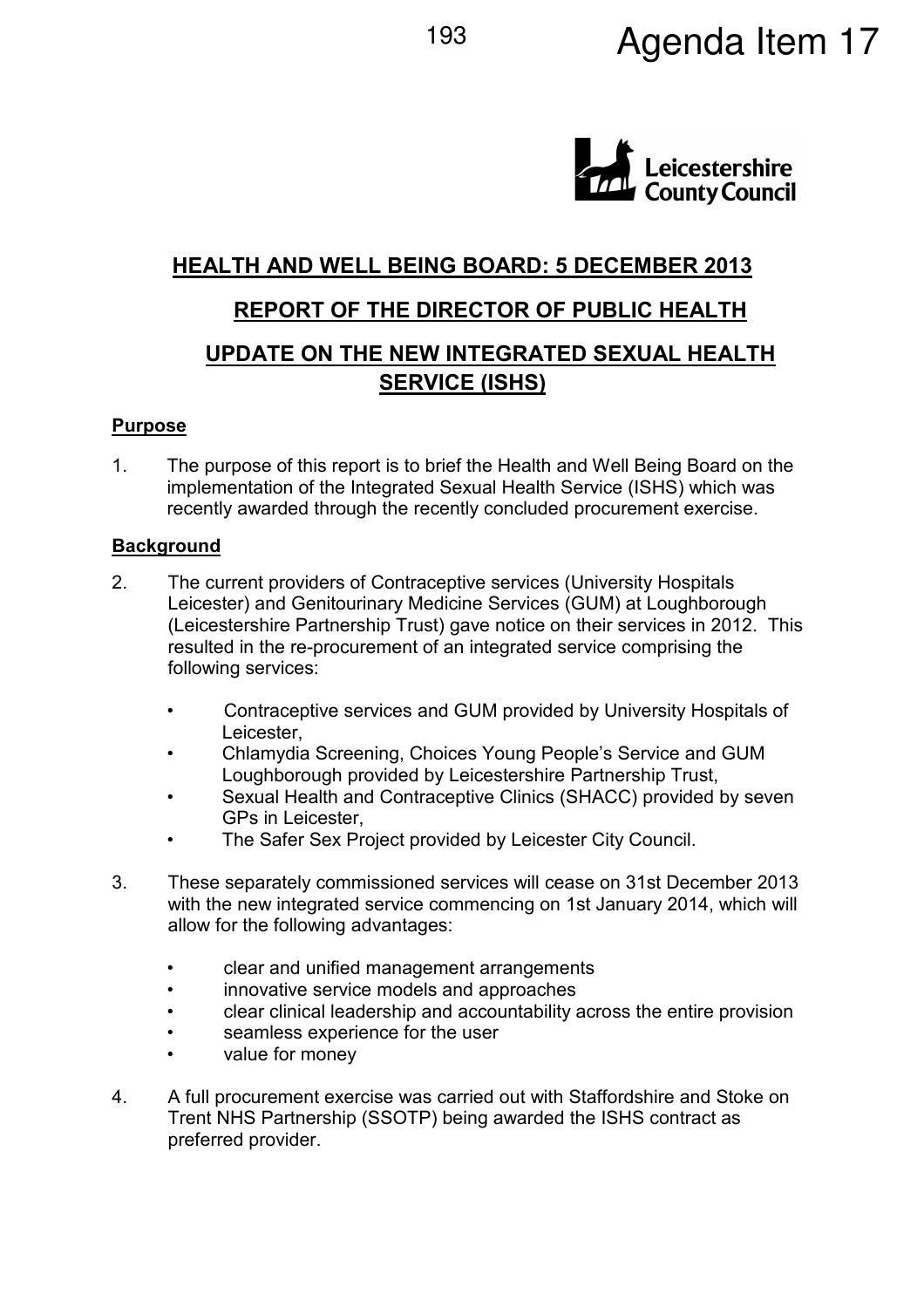# 193 **Agenda Item 17**



# **HEALTH AND WELL BEING BOARD: 5 DECEMBER 2013**

# **REPORT OF THE DIRECTOR OF PUBLIC HEALTH**

# **UPDATE ON THE NEW INTEGRATED SEXUAL HEALTH SERVICE (ISHS)**

### **Purpose**

1. The purpose of this report is to brief the Health and Well Being Board on the implementation of the Integrated Sexual Health Service (ISHS) which was recently awarded through the recently concluded procurement exercise.

#### **Background**

- 2. The current providers of Contraceptive services (University Hospitals Leicester) and Genitourinary Medicine Services (GUM) at Loughborough (Leicestershire Partnership Trust) gave notice on their services in 2012. This resulted in the re-procurement of an integrated service comprising the following services:
	- Contraceptive services and GUM provided by University Hospitals of Leicester,
	- Chlamydia Screening, Choices Young People's Service and GUM Loughborough provided by Leicestershire Partnership Trust,
	- Sexual Health and Contraceptive Clinics (SHACC) provided by seven GPs in Leicester,
	- The Safer Sex Project provided by Leicester City Council.
- 3. These separately commissioned services will cease on 31st December 2013 with the new integrated service commencing on 1st January 2014, which will allow for the following advantages:
	- clear and unified management arrangements
	- innovative service models and approaches
	- clear clinical leadership and accountability across the entire provision
	- seamless experience for the user
	- value for money
- 4. A full procurement exercise was carried out with Staffordshire and Stoke on Trent NHS Partnership (SSOTP) being awarded the ISHS contract as preferred provider.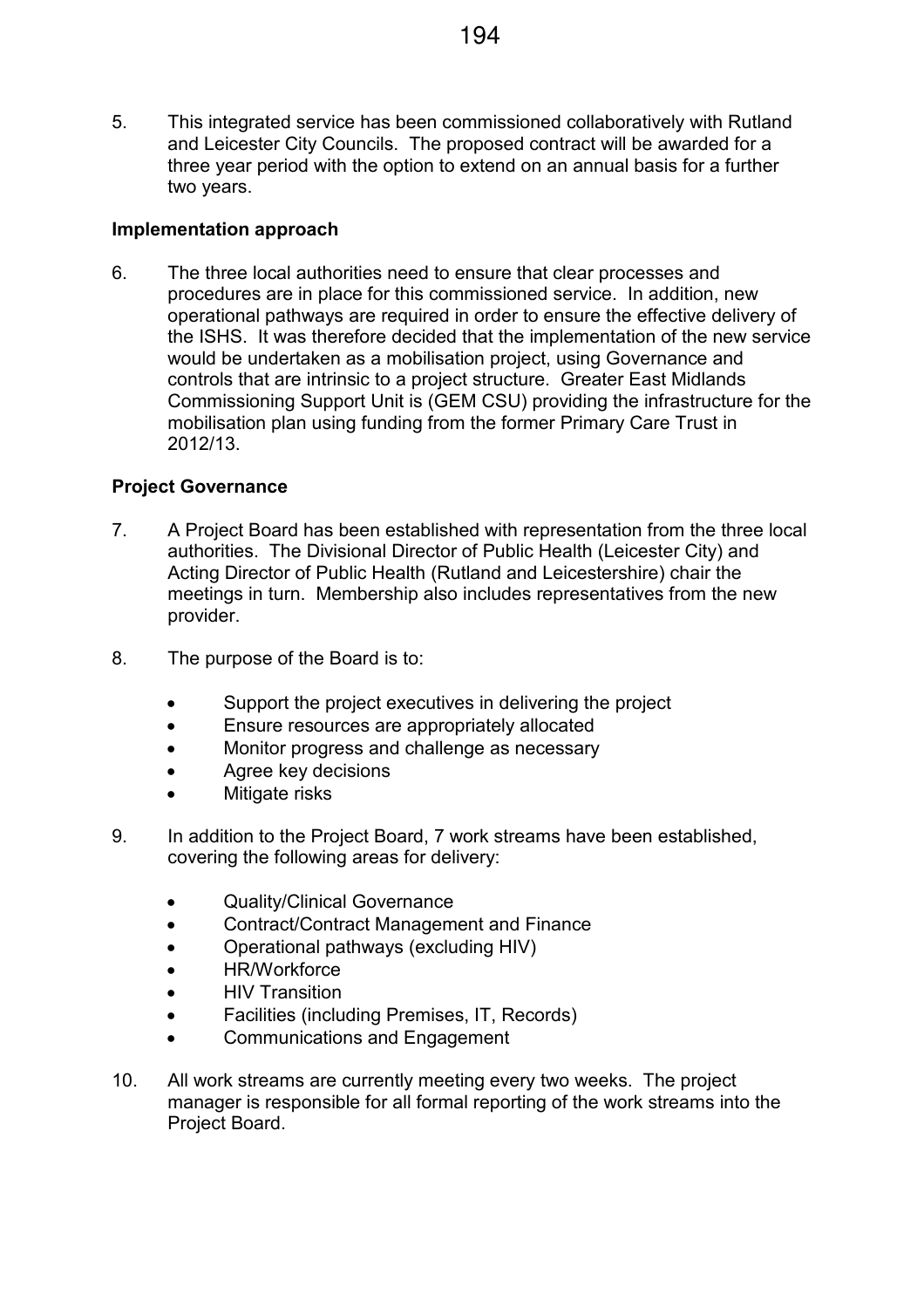5. This integrated service has been commissioned collaboratively with Rutland and Leicester City Councils. The proposed contract will be awarded for a three year period with the option to extend on an annual basis for a further two years.

## **Implementation approach**

6. The three local authorities need to ensure that clear processes and procedures are in place for this commissioned service. In addition, new operational pathways are required in order to ensure the effective delivery of the ISHS. It was therefore decided that the implementation of the new service would be undertaken as a mobilisation project, using Governance and controls that are intrinsic to a project structure. Greater East Midlands Commissioning Support Unit is (GEM CSU) providing the infrastructure for the mobilisation plan using funding from the former Primary Care Trust in 2012/13.

## **Project Governance**

- 7. A Project Board has been established with representation from the three local authorities. The Divisional Director of Public Health (Leicester City) and Acting Director of Public Health (Rutland and Leicestershire) chair the meetings in turn. Membership also includes representatives from the new provider.
- 8. The purpose of the Board is to:
	- Support the project executives in delivering the project
	- Ensure resources are appropriately allocated
	- Monitor progress and challenge as necessary
	- Agree key decisions
	- Mitigate risks
- 9. In addition to the Project Board, 7 work streams have been established, covering the following areas for delivery:
	- Quality/Clinical Governance
	- Contract/Contract Management and Finance
	- Operational pathways (excluding HIV)
	- HR/Workforce
	- **HIV Transition**
	- Facilities (including Premises, IT, Records)
	- Communications and Engagement
- 10. All work streams are currently meeting every two weeks. The project manager is responsible for all formal reporting of the work streams into the Project Board.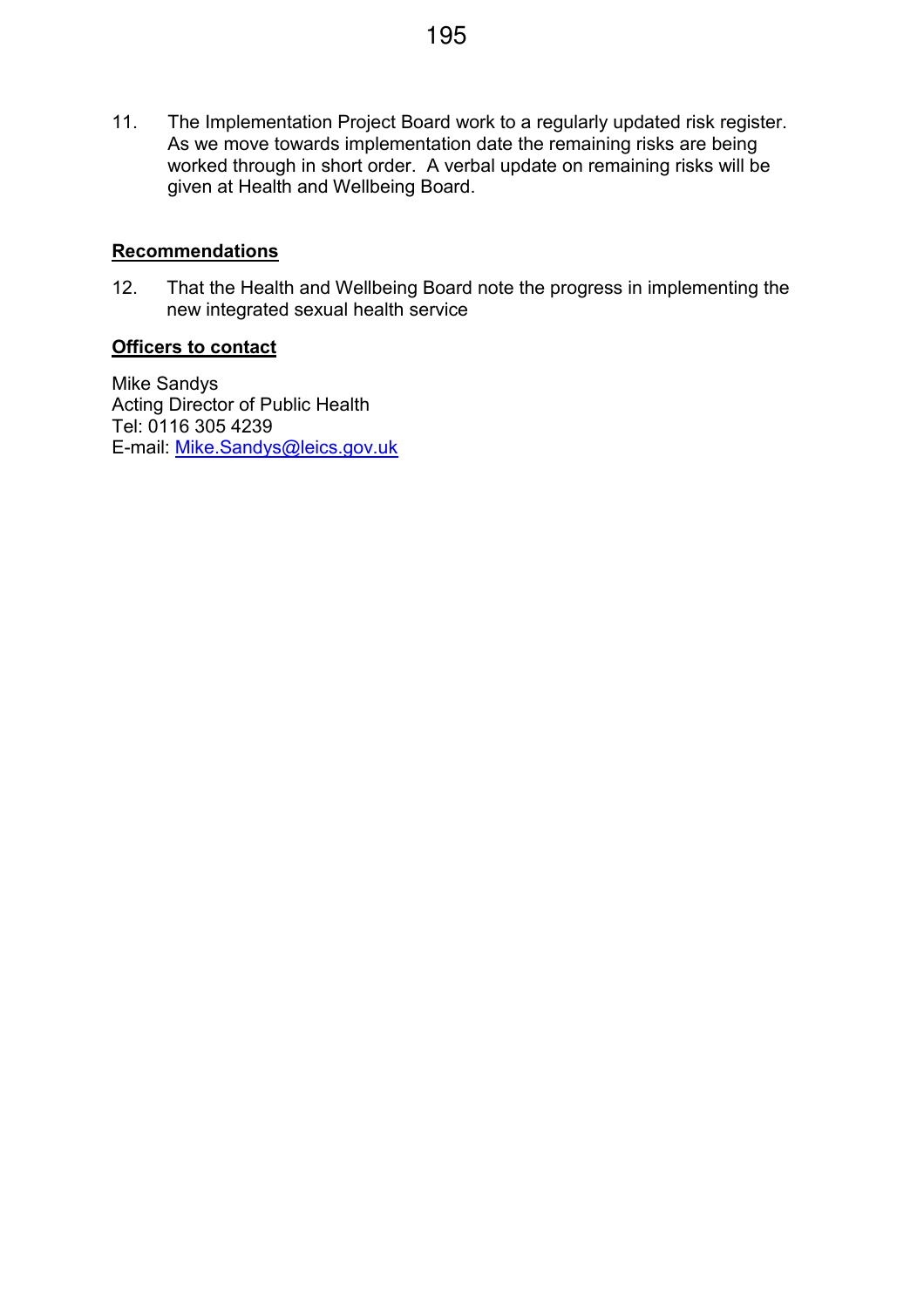11. The Implementation Project Board work to a regularly updated risk register. As we move towards implementation date the remaining risks are being worked through in short order. A verbal update on remaining risks will be given at Health and Wellbeing Board.

## **Recommendations**

12. That the Health and Wellbeing Board note the progress in implementing the new integrated sexual health service

#### **Officers to contact**

Mike Sandys Acting Director of Public Health Tel: 0116 305 4239 E-mail: Mike.Sandys@leics.gov.uk